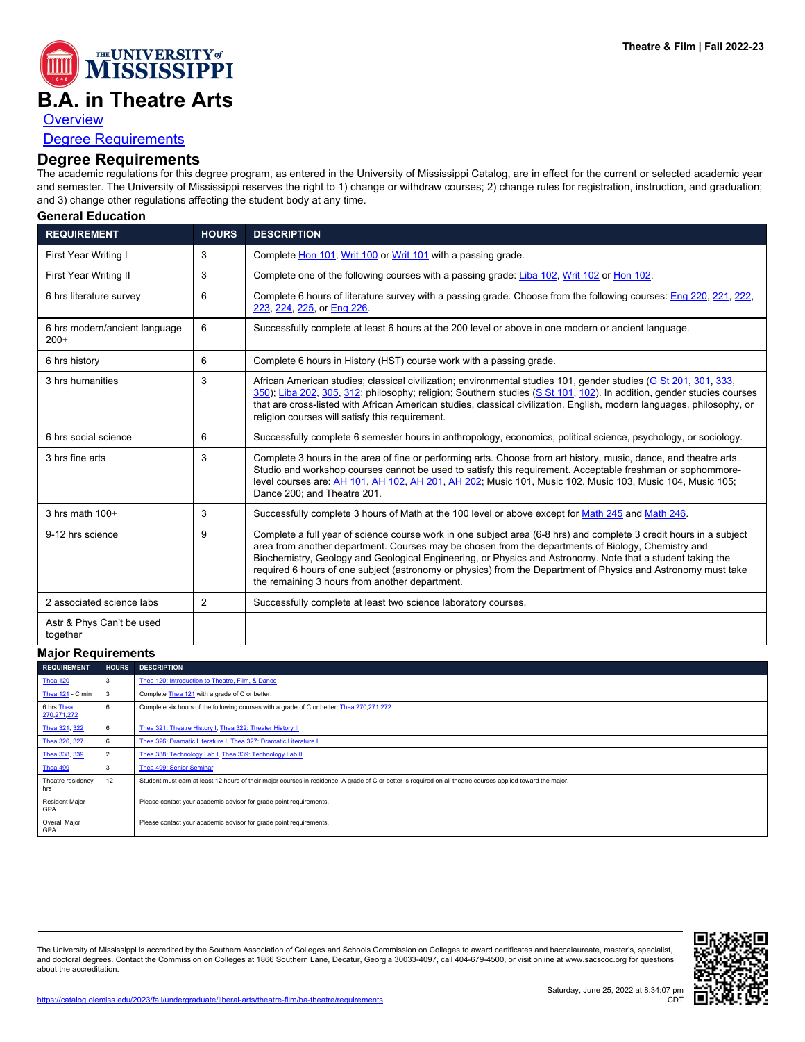

## **B.A. in Theatre Arts**

**[Overview](https://catalog.olemiss.edu/liberal-arts/theatre-film/ba-theatre)** 

## [Degree Requirements](https://catalog.olemiss.edu/liberal-arts/theatre-film/ba-theatre/requirements)

## **Degree Requirements**

The academic regulations for this degree program, as entered in the University of Mississippi Catalog, are in effect for the current or selected academic year and semester. The University of Mississippi reserves the right to 1) change or withdraw courses; 2) change rules for registration, instruction, and graduation; and 3) change other regulations affecting the student body at any time.

**General Education**

| <b>REQUIREMENT</b>                      | <b>HOURS</b>   | <b>DESCRIPTION</b>                                                                                                                                                                                                                                                                                                                                                                                                                                                                                        |
|-----------------------------------------|----------------|-----------------------------------------------------------------------------------------------------------------------------------------------------------------------------------------------------------------------------------------------------------------------------------------------------------------------------------------------------------------------------------------------------------------------------------------------------------------------------------------------------------|
| First Year Writing I                    | 3              | Complete Hon 101, Writ 100 or Writ 101 with a passing grade.                                                                                                                                                                                                                                                                                                                                                                                                                                              |
| First Year Writing II                   | 3              | Complete one of the following courses with a passing grade: Liba 102, Writ 102 or Hon 102.                                                                                                                                                                                                                                                                                                                                                                                                                |
| 6 hrs literature survey                 | 6              | Complete 6 hours of literature survey with a passing grade. Choose from the following courses: Eng 220, 221, 222,<br>223, 224, 225, or Eng 226.                                                                                                                                                                                                                                                                                                                                                           |
| 6 hrs modern/ancient language<br>$200+$ | 6              | Successfully complete at least 6 hours at the 200 level or above in one modern or ancient language.                                                                                                                                                                                                                                                                                                                                                                                                       |
| 6 hrs history                           | 6              | Complete 6 hours in History (HST) course work with a passing grade.                                                                                                                                                                                                                                                                                                                                                                                                                                       |
| 3 hrs humanities                        | 3              | African American studies; classical civilization; environmental studies 101, gender studies (G St 201, 301, 333,<br>350); Liba 202, 305, 312; philosophy; religion; Southern studies (S St 101, 102). In addition, gender studies courses<br>that are cross-listed with African American studies, classical civilization, English, modern languages, philosophy, or<br>religion courses will satisfy this requirement.                                                                                    |
| 6 hrs social science                    | 6              | Successfully complete 6 semester hours in anthropology, economics, political science, psychology, or sociology.                                                                                                                                                                                                                                                                                                                                                                                           |
| 3 hrs fine arts                         | 3              | Complete 3 hours in the area of fine or performing arts. Choose from art history, music, dance, and theatre arts.<br>Studio and workshop courses cannot be used to satisfy this requirement. Acceptable freshman or sophommore-<br>level courses are: AH 101, AH 102, AH 201, AH 202; Music 101, Music 102, Music 103, Music 104, Music 105;<br>Dance 200; and Theatre 201.                                                                                                                               |
| $3$ hrs math $100+$                     | 3              | Successfully complete 3 hours of Math at the 100 level or above except for Math 245 and Math 246.                                                                                                                                                                                                                                                                                                                                                                                                         |
| 9-12 hrs science                        | 9              | Complete a full year of science course work in one subject area (6-8 hrs) and complete 3 credit hours in a subject<br>area from another department. Courses may be chosen from the departments of Biology, Chemistry and<br>Biochemistry, Geology and Geological Engineering, or Physics and Astronomy. Note that a student taking the<br>required 6 hours of one subject (astronomy or physics) from the Department of Physics and Astronomy must take<br>the remaining 3 hours from another department. |
| 2 associated science labs               | $\overline{2}$ | Successfully complete at least two science laboratory courses.                                                                                                                                                                                                                                                                                                                                                                                                                                            |
| Astr & Phys Can't be used<br>together   |                |                                                                                                                                                                                                                                                                                                                                                                                                                                                                                                           |

| <b>Major Requirements</b>           |              |                                                                                                                                                              |  |
|-------------------------------------|--------------|--------------------------------------------------------------------------------------------------------------------------------------------------------------|--|
| <b>REQUIREMENT</b>                  | <b>HOURS</b> | <b>DESCRIPTION</b>                                                                                                                                           |  |
| <b>Thea 120</b>                     | 3            | Thea 120: Introduction to Theatre, Film, & Dance                                                                                                             |  |
| Thea 121 - C min                    | 3            | Complete Thea 121 with a grade of C or better.                                                                                                               |  |
| 6 hrs Thea<br>270, 271, 272         | 6            | Complete six hours of the following courses with a grade of C or better: Thea 270,271,272.                                                                   |  |
| Thea 321, 322                       | 6            | Thea 321: Theatre History I, Thea 322: Theater History II                                                                                                    |  |
| Thea 326, 327                       | 6            | Thea 326: Dramatic Literature I, Thea 327: Dramatic Literature II                                                                                            |  |
| Thea 338, 339                       |              | Thea 338: Technology Lab I, Thea 339: Technology Lab II                                                                                                      |  |
| <b>Thea 499</b>                     | 3            | Thea 499: Senior Seminar                                                                                                                                     |  |
| Theatre residency<br>hrs            | 12           | Student must earn at least 12 hours of their major courses in residence. A grade of C or better is required on all theatre courses applied toward the major. |  |
| <b>Resident Major</b><br><b>GPA</b> |              | Please contact your academic advisor for grade point requirements.                                                                                           |  |
| Overall Major<br>GPA                |              | Please contact your academic advisor for grade point requirements.                                                                                           |  |

The University of Mississippi is accredited by the Southern Association of Colleges and Schools Commission on Colleges to award certificates and baccalaureate, master's, specialist,<br>and doctoral degrees. Contact the Commis about the accreditation.